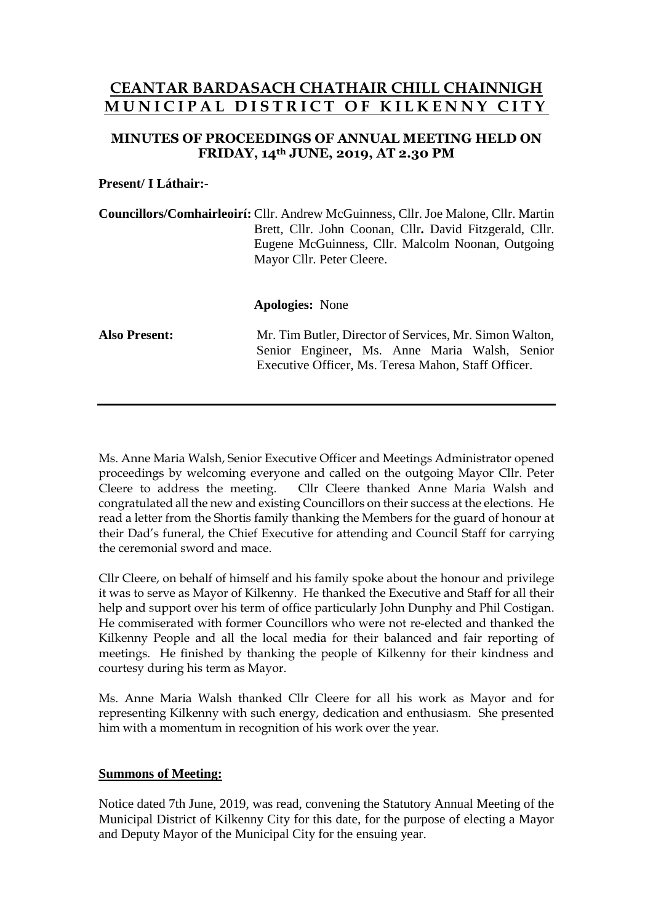# **CEANTAR BARDASACH CHATHAIR CHILL CHAINNIGH M U N I C I P A L D I S T R I C T O F K I L K E N N Y C I T Y**

## **MINUTES OF PROCEEDINGS OF ANNUAL MEETING HELD ON FRIDAY, 14th JUNE, 2019, AT 2.30 PM**

### **Present/ I Láthair:-**

**Councillors/Comhairleoirí:** Cllr. Andrew McGuinness, Cllr. Joe Malone, Cllr. Martin Brett, Cllr. John Coonan, Cllr**.** David Fitzgerald, Cllr. Eugene McGuinness, Cllr. Malcolm Noonan, Outgoing Mayor Cllr. Peter Cleere.

**Apologies:** None

**Also Present:** Mr. Tim Butler, Director of Services, Mr. Simon Walton, Senior Engineer, Ms. Anne Maria Walsh, Senior Executive Officer, Ms. Teresa Mahon, Staff Officer.

Ms. Anne Maria Walsh, Senior Executive Officer and Meetings Administrator opened proceedings by welcoming everyone and called on the outgoing Mayor Cllr. Peter Cleere to address the meeting. Cllr Cleere thanked Anne Maria Walsh and Cllr Cleere thanked Anne Maria Walsh and congratulated all the new and existing Councillors on their success at the elections. He read a letter from the Shortis family thanking the Members for the guard of honour at their Dad's funeral, the Chief Executive for attending and Council Staff for carrying the ceremonial sword and mace.

Cllr Cleere, on behalf of himself and his family spoke about the honour and privilege it was to serve as Mayor of Kilkenny. He thanked the Executive and Staff for all their help and support over his term of office particularly John Dunphy and Phil Costigan. He commiserated with former Councillors who were not re-elected and thanked the Kilkenny People and all the local media for their balanced and fair reporting of meetings. He finished by thanking the people of Kilkenny for their kindness and courtesy during his term as Mayor.

Ms. Anne Maria Walsh thanked Cllr Cleere for all his work as Mayor and for representing Kilkenny with such energy, dedication and enthusiasm. She presented him with a momentum in recognition of his work over the year.

## **Summons of Meeting:**

Notice dated 7th June, 2019, was read, convening the Statutory Annual Meeting of the Municipal District of Kilkenny City for this date, for the purpose of electing a Mayor and Deputy Mayor of the Municipal City for the ensuing year.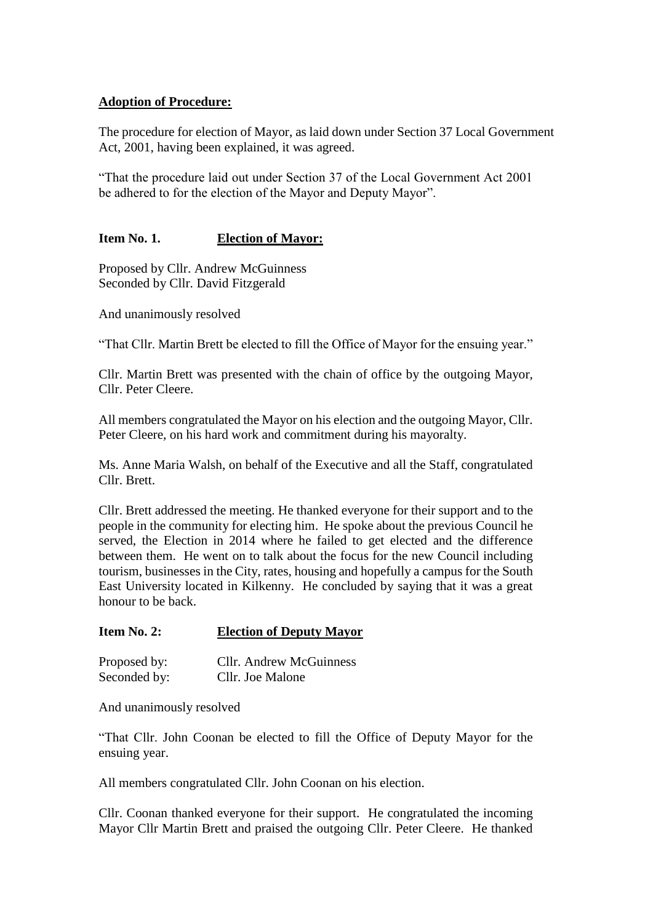#### **Adoption of Procedure:**

The procedure for election of Mayor, as laid down under Section 37 Local Government Act, 2001, having been explained, it was agreed.

"That the procedure laid out under Section 37 of the Local Government Act 2001 be adhered to for the election of the Mayor and Deputy Mayor".

## **Item No. 1. Election of Mayor:**

Proposed by Cllr. Andrew McGuinness Seconded by Cllr. David Fitzgerald

And unanimously resolved

"That Cllr. Martin Brett be elected to fill the Office of Mayor for the ensuing year."

Cllr. Martin Brett was presented with the chain of office by the outgoing Mayor, Cllr. Peter Cleere.

All members congratulated the Mayor on his election and the outgoing Mayor, Cllr. Peter Cleere, on his hard work and commitment during his mayoralty.

Ms. Anne Maria Walsh, on behalf of the Executive and all the Staff, congratulated Cllr. Brett.

Cllr. Brett addressed the meeting. He thanked everyone for their support and to the people in the community for electing him. He spoke about the previous Council he served, the Election in 2014 where he failed to get elected and the difference between them. He went on to talk about the focus for the new Council including tourism, businesses in the City, rates, housing and hopefully a campus for the South East University located in Kilkenny. He concluded by saying that it was a great honour to be back.

#### **Item No. 2: Election of Deputy Mayor**

| Proposed by: | Cllr. Andrew McGuinness |
|--------------|-------------------------|
| Seconded by: | Cllr. Joe Malone        |

And unanimously resolved

"That Cllr. John Coonan be elected to fill the Office of Deputy Mayor for the ensuing year.

All members congratulated Cllr. John Coonan on his election.

Cllr. Coonan thanked everyone for their support. He congratulated the incoming Mayor Cllr Martin Brett and praised the outgoing Cllr. Peter Cleere. He thanked